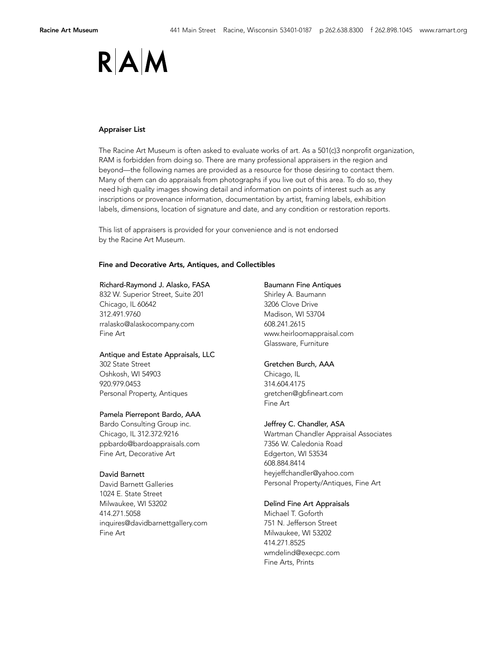## RAIN

### Appraiser List

The Racine Art Museum is often asked to evaluate works of art. As a 501(c)3 nonprofit organization, RAM is forbidden from doing so. There are many professional appraisers in the region and beyond––the following names are provided as a resource for those desiring to contact them. Many of them can do appraisals from photographs if you live out of this area. To do so, they need high quality images showing detail and information on points of interest such as any inscriptions or provenance information, documentation by artist, framing labels, exhibition labels, dimensions, location of signature and date, and any condition or restoration reports.

This list of appraisers is provided for your convenience and is not endorsed by the Racine Art Museum.

## Fine and Decorative Arts, Antiques, and Collectibles

### Richard-Raymond J. Alasko, FASA

832 W. Superior Street, Suite 201 Chicago, IL 60642 312.491.9760 rralasko@alaskocompany.com Fine Art

## Antique and Estate Appraisals, LLC

302 State Street Oshkosh, WI 54903 920.979.0453 Personal Property, Antiques

## Pamela Pierrepont Bardo, AAA

Bardo Consulting Group inc. Chicago, IL 312.372.9216 ppbardo@bardoappraisals.com Fine Art, Decorative Art

## David Barnett

David Barnett Galleries 1024 E. State Street Milwaukee, WI 53202 414.271.5058 inquires@davidbarnettgallery.com Fine Art

#### Baumann Fine Antiques

Shirley A. Baumann 3206 Clove Drive Madison, WI 53704 608.241.2615 www.heirloomappraisal.com Glassware, Furniture

## Gretchen Burch, AAA

Chicago, IL 314.604.4175 gretchen@gbfineart.com Fine Art

## Jeffrey C. Chandler, ASA

Wartman Chandler Appraisal Associates 7356 W. Caledonia Road Edgerton, WI 53534 608.884.8414 heyjeffchandler@yahoo.com Personal Property/Antiques, Fine Art

## Delind Fine Art Appraisals

Michael T. Goforth 751 N. Jefferson Street Milwaukee, WI 53202 414.271.8525 wmdelind@execpc.com Fine Arts, Prints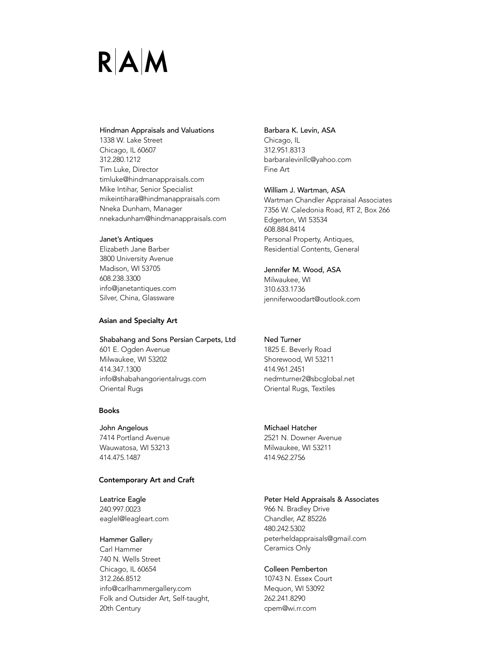# $R|A|M$

## Hindman Appraisals and Valuations

1338 W. Lake Street Chicago, IL 60607 312.280.1212 Tim Luke, Director timluke@hindmanappraisals.com Mike Intihar, Senior Specialist mikeintihara@hindmanappraisals.com Nneka Dunham, Manager nnekadunham@hindmanappraisals.com

## Janet's Antiques

Elizabeth Jane Barber 3800 University Avenue Madison, WI 53705 608.238.3300 info@janetantiques.com Silver, China, Glassware

## Asian and Specialty Art

## Shabahang and Sons Persian Carpets, Ltd

601 E. Ogden Avenue Milwaukee, WI 53202 414.347.1300 info@shabahangorientalrugs.com Oriental Rugs

## Books

John Angelous 7414 Portland Avenue Wauwatosa, WI 53213 414.475.1487

## Contemporary Art and Craft

Leatrice Eagle 240.997.0023 eaglel@leagleart.com

## Hammer Gallery

Carl Hammer 740 N. Wells Street Chicago, IL 60654 312.266.8512 info@carlhammergallery.com Folk and Outsider Art, Self-taught, 20th Century

## Barbara K. Levin, ASA Chicago, IL

312.951.8313 barbaralevinllc@yahoo.com Fine Art

## William J. Wartman, ASA

Wartman Chandler Appraisal Associates 7356 W. Caledonia Road, RT 2, Box 266 Edgerton, WI 53534 608.884.8414 Personal Property, Antiques, Residential Contents, General

## Jennifer M. Wood, ASA

Milwaukee, WI 310.633.1736 jenniferwoodart@outlook.com

## Ned Turner

1825 E. Beverly Road Shorewood, WI 53211 414.961.2451 nedmturner2@sbcglobal.net Oriental Rugs, Textiles

## Michael Hatcher

2521 N. Downer Avenue Milwaukee, WI 53211 414.962.2756

## Peter Held Appraisals & Associates

966 N. Bradley Drive Chandler, AZ 85226 480.242.5302 peterheldappraisals@gmail.com Ceramics Only

## Colleen Pemberton

10743 N. Essex Court Mequon, WI 53092 262.241.8290 cpem@wi.rr.com